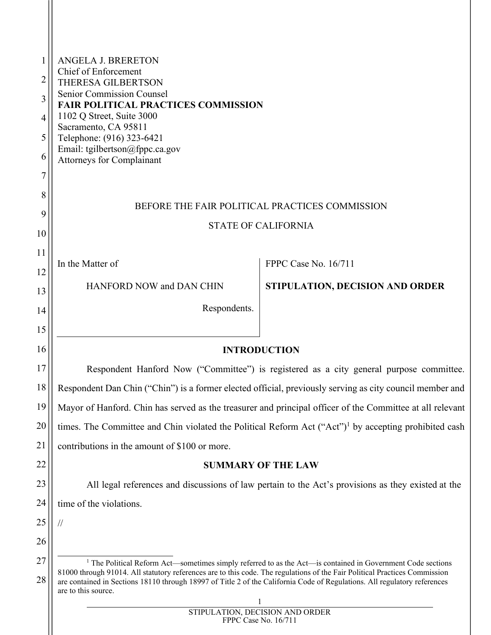<span id="page-0-0"></span>

| 1               | <b>ANGELA J. BRERETON</b>                                                                                                                                                                                                                                                                                                                                                                                |                                 |  |  |  |
|-----------------|----------------------------------------------------------------------------------------------------------------------------------------------------------------------------------------------------------------------------------------------------------------------------------------------------------------------------------------------------------------------------------------------------------|---------------------------------|--|--|--|
| $\overline{2}$  | <b>Chief of Enforcement</b>                                                                                                                                                                                                                                                                                                                                                                              |                                 |  |  |  |
| 3               | THERESA GILBERTSON<br>Senior Commission Counsel                                                                                                                                                                                                                                                                                                                                                          |                                 |  |  |  |
| $\overline{4}$  | <b>FAIR POLITICAL PRACTICES COMMISSION</b><br>1102 Q Street, Suite 3000                                                                                                                                                                                                                                                                                                                                  |                                 |  |  |  |
| 5               | Sacramento, CA 95811                                                                                                                                                                                                                                                                                                                                                                                     |                                 |  |  |  |
| 6               | Telephone: (916) 323-6421<br>Email: tgilbertson@fppc.ca.gov                                                                                                                                                                                                                                                                                                                                              |                                 |  |  |  |
| 7               | <b>Attorneys for Complainant</b>                                                                                                                                                                                                                                                                                                                                                                         |                                 |  |  |  |
|                 |                                                                                                                                                                                                                                                                                                                                                                                                          |                                 |  |  |  |
| 8               | BEFORE THE FAIR POLITICAL PRACTICES COMMISSION                                                                                                                                                                                                                                                                                                                                                           |                                 |  |  |  |
| 9               | <b>STATE OF CALIFORNIA</b>                                                                                                                                                                                                                                                                                                                                                                               |                                 |  |  |  |
| 10              |                                                                                                                                                                                                                                                                                                                                                                                                          |                                 |  |  |  |
| 11              | In the Matter of                                                                                                                                                                                                                                                                                                                                                                                         | FPPC Case No. 16/711            |  |  |  |
| 12              | HANFORD NOW and DAN CHIN                                                                                                                                                                                                                                                                                                                                                                                 | STIPULATION, DECISION AND ORDER |  |  |  |
| 13              | Respondents.                                                                                                                                                                                                                                                                                                                                                                                             |                                 |  |  |  |
| 14              |                                                                                                                                                                                                                                                                                                                                                                                                          |                                 |  |  |  |
| 15              |                                                                                                                                                                                                                                                                                                                                                                                                          |                                 |  |  |  |
| 16              |                                                                                                                                                                                                                                                                                                                                                                                                          | <b>INTRODUCTION</b>             |  |  |  |
| 17              | Respondent Hanford Now ("Committee") is registered as a city general purpose committee.                                                                                                                                                                                                                                                                                                                  |                                 |  |  |  |
| 18              | Respondent Dan Chin ("Chin") is a former elected official, previously serving as city council member and                                                                                                                                                                                                                                                                                                 |                                 |  |  |  |
| 19              | Mayor of Hanford. Chin has served as the treasurer and principal officer of the Committee at all relevant                                                                                                                                                                                                                                                                                                |                                 |  |  |  |
| 20              | times. The Committee and Chin violated the Political Reform Act ("Act") <sup>1</sup> by accepting prohibited cash                                                                                                                                                                                                                                                                                        |                                 |  |  |  |
| $\overline{21}$ | contributions in the amount of \$100 or more.                                                                                                                                                                                                                                                                                                                                                            |                                 |  |  |  |
| 22              | <b>SUMMARY OF THE LAW</b>                                                                                                                                                                                                                                                                                                                                                                                |                                 |  |  |  |
| 23              | All legal references and discussions of law pertain to the Act's provisions as they existed at the                                                                                                                                                                                                                                                                                                       |                                 |  |  |  |
| 24              | time of the violations.                                                                                                                                                                                                                                                                                                                                                                                  |                                 |  |  |  |
| 25              | $\frac{1}{2}$                                                                                                                                                                                                                                                                                                                                                                                            |                                 |  |  |  |
| 26              |                                                                                                                                                                                                                                                                                                                                                                                                          |                                 |  |  |  |
| 27              | <sup>1</sup> The Political Reform Act—sometimes simply referred to as the Act—is contained in Government Code sections<br>81000 through 91014. All statutory references are to this code. The regulations of the Fair Political Practices Commission<br>are contained in Sections 18110 through 18997 of Title 2 of the California Code of Regulations. All regulatory references<br>are to this source. |                                 |  |  |  |
| 28              |                                                                                                                                                                                                                                                                                                                                                                                                          |                                 |  |  |  |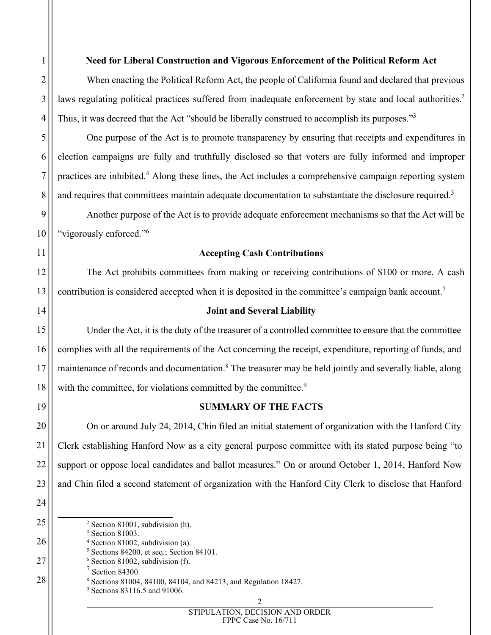When enacting the Political Reform Act, the people of California found and declared that previous laws regulating political practices suffered from inadequate enforcement by state and local authorities.<sup>[2](#page-1-0)</sup> Thus, it was decreed that the Act "should be liberally construed to accomplish its purposes."<sup>[3](#page-1-1)</sup>

One purpose of the Act is to promote transparency by ensuring that receipts and expenditures in election campaigns are fully and truthfully disclosed so that voters are fully informed and improper practices are inhibited.[4](#page-1-2) Along these lines, the Act includes a comprehensive campaign reporting system and requires that committees maintain adequate documentation to substantiate the disclosure required.<sup>[5](#page-1-3)</sup>

Another purpose of the Act is to provide adequate enforcement mechanisms so that the Act will be "vigorously enforced."[6](#page-1-4)

# **Accepting Cash Contributions**

The Act prohibits committees from making or receiving contributions of \$100 or more. A cash contribution is considered accepted when it is deposited in the committee's campaign bank account.<sup>[7](#page-1-5)</sup>

# **Joint and Several Liability**

Under the Act, it is the duty of the treasurer of a controlled committee to ensure that the committee complies with all the requirements of the Act concerning the receipt, expenditure, reporting of funds, and maintenance of records and documentation.<sup>[8](#page-1-6)</sup> The treasurer may be held jointly and severally liable, along with the committee, for violations committed by the committee.<sup>[9](#page-1-7)</sup>

# **SUMMARY OF THE FACTS**

On or around July 24, 2014, Chin filed an initial statement of organization with the Hanford City Clerk establishing Hanford Now as a city general purpose committee with its stated purpose being "to support or oppose local candidates and ballot measures." On or around October 1, 2014, Hanford Now and Chin filed a second statement of organization with the Hanford City Clerk to disclose that Hanford

1

2

3

4

5

6

7

8

9

10

11

12

13

14

15

16

17

18

19

20

21

22

23

24

25

26

27

<span id="page-1-1"></span><span id="page-1-0"></span><sup>2</sup> Section 81001, subdivision (h).

<sup>3</sup> Section 81003.

<span id="page-1-2"></span><sup>4</sup> Section 81002, subdivision (a). <sup>5</sup> Sections 84200, et seq.; Section 84101.

<span id="page-1-4"></span><span id="page-1-3"></span> $6$  Section 81002, subdivision (f).

<span id="page-1-5"></span>

 $7$  Section 84300.

<span id="page-1-7"></span><span id="page-1-6"></span><sup>8</sup> Sections 81004, 84100, 84104, and 84213, and Regulation 18427.

<sup>9</sup> Sections 83116.5 and 91006.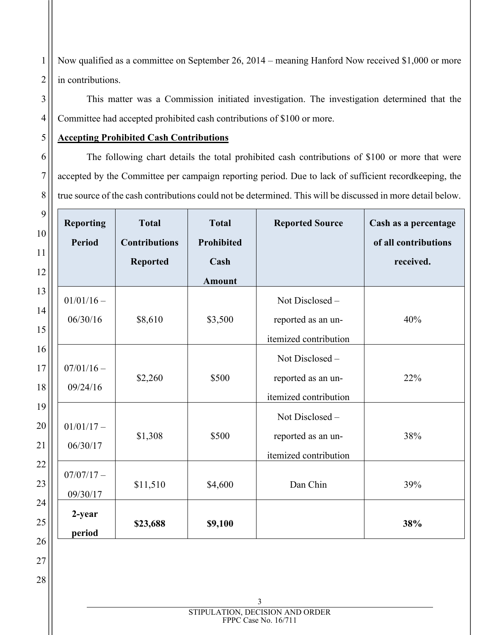Now qualified as a committee on September 26, 2014 – meaning Hanford Now received \$1,000 or more in contributions.

This matter was a Commission initiated investigation. The investigation determined that the Committee had accepted prohibited cash contributions of \$100 or more.

## **Accepting Prohibited Cash Contributions**

The following chart details the total prohibited cash contributions of \$100 or more that were accepted by the Committee per campaign reporting period. Due to lack of sufficient recordkeeping, the true source of the cash contributions could not be determined. This will be discussed in more detail below.

| <b>Reporting</b><br><b>Period</b> | <b>Total</b><br><b>Contributions</b><br><b>Reported</b> | <b>Total</b><br>Prohibited<br>Cash<br><b>Amount</b> | <b>Reported Source</b>                                         | Cash as a percentage<br>of all contributions<br>received. |
|-----------------------------------|---------------------------------------------------------|-----------------------------------------------------|----------------------------------------------------------------|-----------------------------------------------------------|
| $01/01/16 -$<br>06/30/16          | \$8,610                                                 | \$3,500                                             | Not Disclosed-<br>reported as an un-<br>itemized contribution  | 40%                                                       |
| $07/01/16 -$<br>09/24/16          | \$2,260                                                 | \$500                                               | Not Disclosed-<br>reported as an un-<br>itemized contribution  | 22%                                                       |
| $01/01/17 -$<br>06/30/17          | \$1,308                                                 | \$500                                               | Not Disclosed -<br>reported as an un-<br>itemized contribution | 38%                                                       |
| $07/07/17 -$<br>09/30/17          | \$11,510                                                | \$4,600                                             | Dan Chin                                                       | 39%                                                       |
| 2-year<br>period                  | \$23,688                                                | \$9,100                                             |                                                                | 38%                                                       |

3 STIPULATION, DECISION AND ORDER FPPC Case No. 16/711

1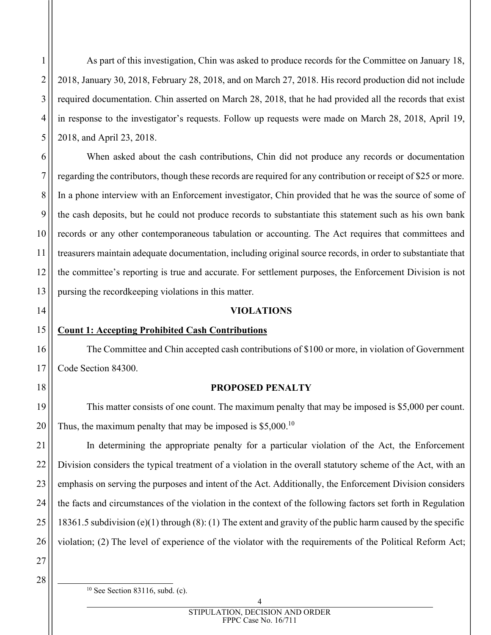As part of this investigation, Chin was asked to produce records for the Committee on January 18, 2018, January 30, 2018, February 28, 2018, and on March 27, 2018. His record production did not include required documentation. Chin asserted on March 28, 2018, that he had provided all the records that exist in response to the investigator's requests. Follow up requests were made on March 28, 2018, April 19, 2018, and April 23, 2018.

When asked about the cash contributions, Chin did not produce any records or documentation regarding the contributors, though these records are required for any contribution or receipt of \$25 or more. In a phone interview with an Enforcement investigator, Chin provided that he was the source of some of the cash deposits, but he could not produce records to substantiate this statement such as his own bank records or any other contemporaneous tabulation or accounting. The Act requires that committees and treasurers maintain adequate documentation, including original source records, in order to substantiate that the committee's reporting is true and accurate. For settlement purposes, the Enforcement Division is not pursing the recordkeeping violations in this matter.

#### **VIOLATIONS**

### **Count 1: Accepting Prohibited Cash Contributions**

The Committee and Chin accepted cash contributions of \$100 or more, in violation of Government Code Section 84300.

### **PROPOSED PENALTY**

This matter consists of one count. The maximum penalty that may be imposed is \$5,000 per count. Thus, the maximum penalty that may be imposed is \$5,000.<sup>[10](#page-3-0)</sup>

In determining the appropriate penalty for a particular violation of the Act, the Enforcement Division considers the typical treatment of a violation in the overall statutory scheme of the Act, with an emphasis on serving the purposes and intent of the Act. Additionally, the Enforcement Division considers the facts and circumstances of the violation in the context of the following factors set forth in Regulation 18361.5 subdivision (e)(1) through (8): (1) The extent and gravity of the public harm caused by the specific violation; (2) The level of experience of the violator with the requirements of the Political Reform Act;

27 28

1

2

3

4

5

6

7

8

9

10

11

12

13

14

15

16

17

18

19

20

21

22

23

24

25

<span id="page-3-0"></span> $10$  See Section 83116, subd. (c).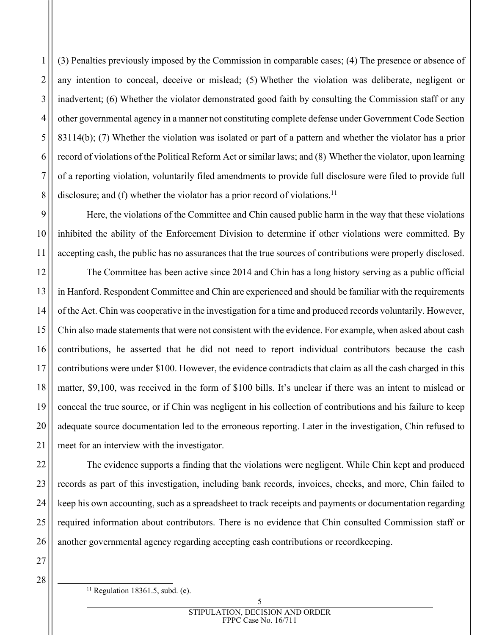(3) Penalties previously imposed by the Commission in comparable cases; (4) The presence or absence of any intention to conceal, deceive or mislead; (5) Whether the violation was deliberate, negligent or inadvertent; (6) Whether the violator demonstrated good faith by consulting the Commission staff or any other governmental agency in a manner not constituting complete defense under Government Code Section 83114(b); (7) Whether the violation was isolated or part of a pattern and whether the violator has a prior record of violations of the Political Reform Act or similar laws; and (8) Whether the violator, upon learning of a reporting violation, voluntarily filed amendments to provide full disclosure were filed to provide full disclosure; and (f) whether the violator has a prior record of violations.<sup>[11](#page-4-0)</sup>

Here, the violations of the Committee and Chin caused public harm in the way that these violations inhibited the ability of the Enforcement Division to determine if other violations were committed. By accepting cash, the public has no assurances that the true sources of contributions were properly disclosed.

The Committee has been active since 2014 and Chin has a long history serving as a public official in Hanford. Respondent Committee and Chin are experienced and should be familiar with the requirements of the Act. Chin was cooperative in the investigation for a time and produced records voluntarily. However, Chin also made statements that were not consistent with the evidence. For example, when asked about cash contributions, he asserted that he did not need to report individual contributors because the cash contributions were under \$100. However, the evidence contradicts that claim as all the cash charged in this matter, \$9,100, was received in the form of \$100 bills. It's unclear if there was an intent to mislead or conceal the true source, or if Chin was negligent in his collection of contributions and his failure to keep adequate source documentation led to the erroneous reporting. Later in the investigation, Chin refused to meet for an interview with the investigator.

The evidence supports a finding that the violations were negligent. While Chin kept and produced records as part of this investigation, including bank records, invoices, checks, and more, Chin failed to keep his own accounting, such as a spreadsheet to track receipts and payments or documentation regarding required information about contributors. There is no evidence that Chin consulted Commission staff or another governmental agency regarding accepting cash contributions or recordkeeping.

27 28

1

2

3

4

5

6

7

8

9

10

11

12

13

14

15

16

17

18

19

20

21

22

23

24

25

<span id="page-4-0"></span> $11$  Regulation 18361.5, subd. (e).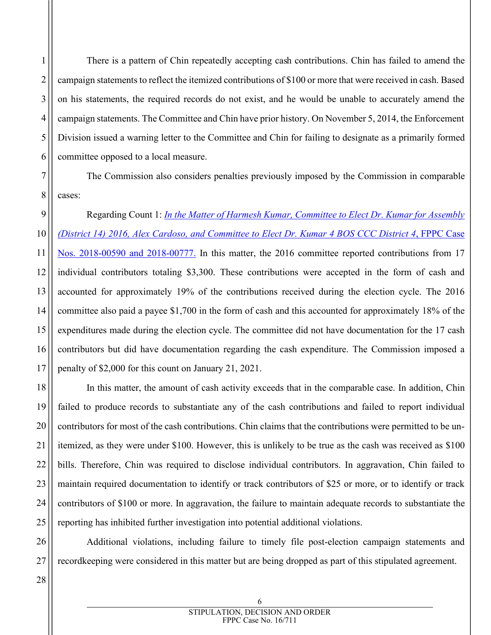There is a pattern of Chin repeatedly accepting cash contributions. Chin has failed to amend the campaign statements to reflect the itemized contributions of \$100 or more that were received in cash. Based on his statements, the required records do not exist, and he would be unable to accurately amend the campaign statements. The Committee and Chin have prior history. On November 5, 2014, the Enforcement Division issued a warning letter to the Committee and Chin for failing to designate as a primarily formed committee opposed to a local measure.

The Commission also considers penalties previously imposed by the Commission in comparable cases:

Regarding Count 1: *[In the Matter of Harmesh Kumar, Committee to Elect Dr. Kumar for Assembly](https://fppc.ca.gov/content/dam/fppc/documents/Stipulations/2021/january/3. cHarmesh Kumar - Stip.pdf)  [\(District 14\) 2016, Alex Cardoso, and Committee to Elect Dr. Kumar 4 BOS CCC District 4](https://fppc.ca.gov/content/dam/fppc/documents/Stipulations/2021/january/3. cHarmesh Kumar - Stip.pdf)*, FPPC Case [Nos. 2018-00590 and 2018-00777.](https://fppc.ca.gov/content/dam/fppc/documents/Stipulations/2021/january/3. cHarmesh Kumar - Stip.pdf) In this matter, the 2016 committee reported contributions from 17 individual contributors totaling \$3,300. These contributions were accepted in the form of cash and accounted for approximately 19% of the contributions received during the election cycle. The 2016 committee also paid a payee \$1,700 in the form of cash and this accounted for approximately 18% of the expenditures made during the election cycle. The committee did not have documentation for the 17 cash contributors but did have documentation regarding the cash expenditure. The Commission imposed a penalty of \$2,000 for this count on January 21, 2021.

In this matter, the amount of cash activity exceeds that in the comparable case. In addition, Chin failed to produce records to substantiate any of the cash contributions and failed to report individual contributors for most of the cash contributions. Chin claims that the contributions were permitted to be unitemized, as they were under \$100. However, this is unlikely to be true as the cash was received as \$100 bills. Therefore, Chin was required to disclose individual contributors. In aggravation, Chin failed to maintain required documentation to identify or track contributors of \$25 or more, or to identify or track contributors of \$100 or more. In aggravation, the failure to maintain adequate records to substantiate the reporting has inhibited further investigation into potential additional violations.

Additional violations, including failure to timely file post-election campaign statements and recordkeeping were considered in this matter but are being dropped as part of this stipulated agreement.

1

2

3

4

5

6

7

8

9

10

11

12

13

14

15

16

17

18

19

20

21

22

23

24

25

26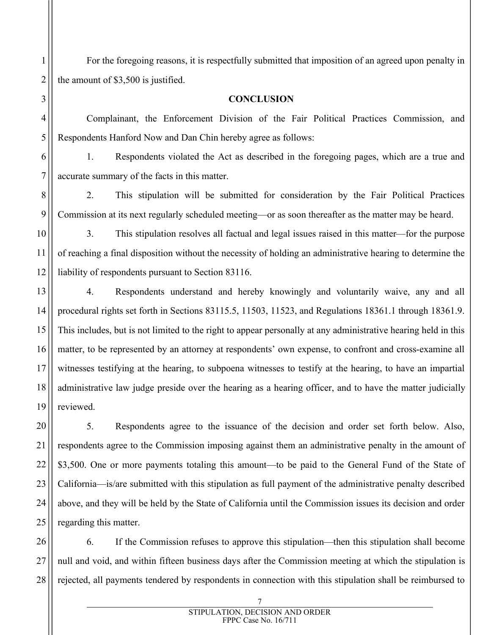For the foregoing reasons, it is respectfully submitted that imposition of an agreed upon penalty in the amount of \$3,500 is justified.

### **CONCLUSION**

Complainant, the Enforcement Division of the Fair Political Practices Commission, and Respondents Hanford Now and Dan Chin hereby agree as follows:

1. Respondents violated the Act as described in the foregoing pages, which are a true and accurate summary of the facts in this matter.

2. This stipulation will be submitted for consideration by the Fair Political Practices Commission at its next regularly scheduled meeting—or as soon thereafter as the matter may be heard.

3. This stipulation resolves all factual and legal issues raised in this matter—for the purpose of reaching a final disposition without the necessity of holding an administrative hearing to determine the liability of respondents pursuant to Section 83116.

4. Respondents understand and hereby knowingly and voluntarily waive, any and all procedural rights set forth in Sections 83115.5, 11503, 11523, and Regulations 18361.1 through 18361.9. This includes, but is not limited to the right to appear personally at any administrative hearing held in this matter, to be represented by an attorney at respondents' own expense, to confront and cross-examine all witnesses testifying at the hearing, to subpoena witnesses to testify at the hearing, to have an impartial administrative law judge preside over the hearing as a hearing officer, and to have the matter judicially reviewed.

5. Respondents agree to the issuance of the decision and order set forth below. Also, respondents agree to the Commission imposing against them an administrative penalty in the amount of \$3,500. One or more payments totaling this amount—to be paid to the General Fund of the State of California—is/are submitted with this stipulation as full payment of the administrative penalty described above, and they will be held by the State of California until the Commission issues its decision and order regarding this matter.

6. If the Commission refuses to approve this stipulation—then this stipulation shall become null and void, and within fifteen business days after the Commission meeting at which the stipulation is rejected, all payments tendered by respondents in connection with this stipulation shall be reimbursed to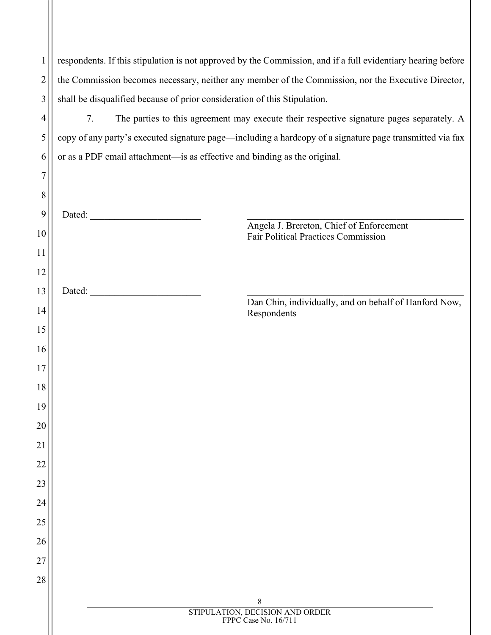| 1        | respondents. If this stipulation is not approved by the Commission, and if a full evidentiary hearing before                                                                                                                                                                            |  |  |  |  |
|----------|-----------------------------------------------------------------------------------------------------------------------------------------------------------------------------------------------------------------------------------------------------------------------------------------|--|--|--|--|
| 2        | the Commission becomes necessary, neither any member of the Commission, nor the Executive Director,                                                                                                                                                                                     |  |  |  |  |
| 3        | shall be disqualified because of prior consideration of this Stipulation.                                                                                                                                                                                                               |  |  |  |  |
| 4        | The parties to this agreement may execute their respective signature pages separately. A<br>7.                                                                                                                                                                                          |  |  |  |  |
| 5        | copy of any party's executed signature page—including a hardcopy of a signature page transmitted via fax                                                                                                                                                                                |  |  |  |  |
| 6        | or as a PDF email attachment—is as effective and binding as the original.                                                                                                                                                                                                               |  |  |  |  |
| 7        |                                                                                                                                                                                                                                                                                         |  |  |  |  |
| 8        |                                                                                                                                                                                                                                                                                         |  |  |  |  |
| 9        |                                                                                                                                                                                                                                                                                         |  |  |  |  |
| 10       | Angela J. Brereton, Chief of Enforcement<br><b>Fair Political Practices Commission</b>                                                                                                                                                                                                  |  |  |  |  |
| 11       |                                                                                                                                                                                                                                                                                         |  |  |  |  |
| 12       |                                                                                                                                                                                                                                                                                         |  |  |  |  |
| 13       | Dated: The contract of the contract of the contract of the contract of the contract of the contract of the contract of the contract of the contract of the contract of the contract of the contract of the contract of the con<br>Dan Chin, individually, and on behalf of Hanford Now, |  |  |  |  |
| 14       | Respondents                                                                                                                                                                                                                                                                             |  |  |  |  |
| 15       |                                                                                                                                                                                                                                                                                         |  |  |  |  |
| 16       |                                                                                                                                                                                                                                                                                         |  |  |  |  |
| 17       |                                                                                                                                                                                                                                                                                         |  |  |  |  |
| 18       |                                                                                                                                                                                                                                                                                         |  |  |  |  |
| 19       |                                                                                                                                                                                                                                                                                         |  |  |  |  |
| 20       |                                                                                                                                                                                                                                                                                         |  |  |  |  |
| 21       |                                                                                                                                                                                                                                                                                         |  |  |  |  |
| 22       |                                                                                                                                                                                                                                                                                         |  |  |  |  |
| 23       |                                                                                                                                                                                                                                                                                         |  |  |  |  |
| 24       |                                                                                                                                                                                                                                                                                         |  |  |  |  |
| 25       |                                                                                                                                                                                                                                                                                         |  |  |  |  |
| 26       |                                                                                                                                                                                                                                                                                         |  |  |  |  |
| 27<br>28 |                                                                                                                                                                                                                                                                                         |  |  |  |  |
|          |                                                                                                                                                                                                                                                                                         |  |  |  |  |
|          | $\,$ 8 $\,$<br>STIPULATION, DECISION AND ORDER                                                                                                                                                                                                                                          |  |  |  |  |
|          | FPPC Case No. 16/711                                                                                                                                                                                                                                                                    |  |  |  |  |